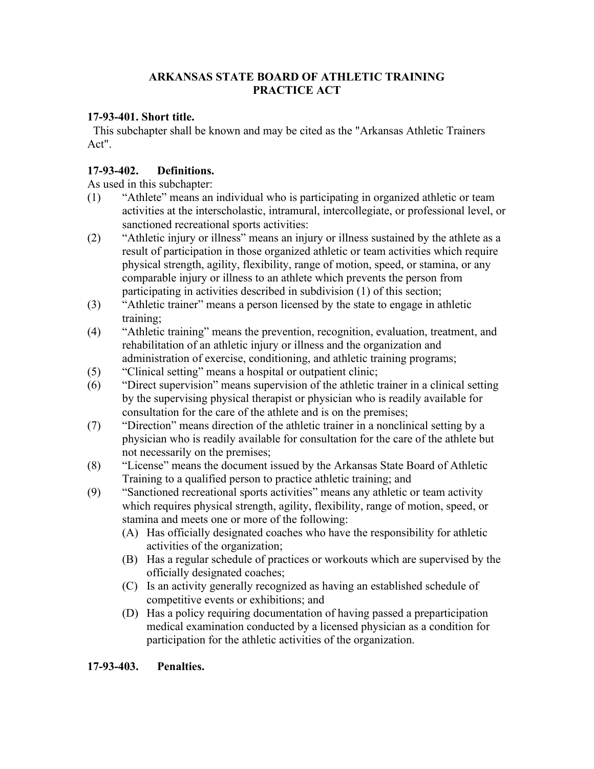#### **ARKANSAS STATE BOARD OF ATHLETIC TRAINING PRACTICE ACT**

### **17-93-401. Short title.**

 This subchapter shall be known and may be cited as the "Arkansas Athletic Trainers Act".

### **17-93-402. Definitions.**

As used in this subchapter:

- (1) "Athlete" means an individual who is participating in organized athletic or team activities at the interscholastic, intramural, intercollegiate, or professional level, or sanctioned recreational sports activities:
- (2) "Athletic injury or illness" means an injury or illness sustained by the athlete as a result of participation in those organized athletic or team activities which require physical strength, agility, flexibility, range of motion, speed, or stamina, or any comparable injury or illness to an athlete which prevents the person from participating in activities described in subdivision (1) of this section;
- (3) "Athletic trainer" means a person licensed by the state to engage in athletic training;
- (4) "Athletic training" means the prevention, recognition, evaluation, treatment, and rehabilitation of an athletic injury or illness and the organization and administration of exercise, conditioning, and athletic training programs;
- (5) "Clinical setting" means a hospital or outpatient clinic;
- (6) "Direct supervision" means supervision of the athletic trainer in a clinical setting by the supervising physical therapist or physician who is readily available for consultation for the care of the athlete and is on the premises;
- (7) "Direction" means direction of the athletic trainer in a nonclinical setting by a physician who is readily available for consultation for the care of the athlete but not necessarily on the premises;
- (8) "License" means the document issued by the Arkansas State Board of Athletic Training to a qualified person to practice athletic training; and
- (9) "Sanctioned recreational sports activities" means any athletic or team activity which requires physical strength, agility, flexibility, range of motion, speed, or stamina and meets one or more of the following:
	- (A) Has officially designated coaches who have the responsibility for athletic activities of the organization;
	- (B) Has a regular schedule of practices or workouts which are supervised by the officially designated coaches;
	- (C) Is an activity generally recognized as having an established schedule of competitive events or exhibitions; and
	- (D) Has a policy requiring documentation of having passed a preparticipation medical examination conducted by a licensed physician as a condition for participation for the athletic activities of the organization.

#### **17-93-403. Penalties.**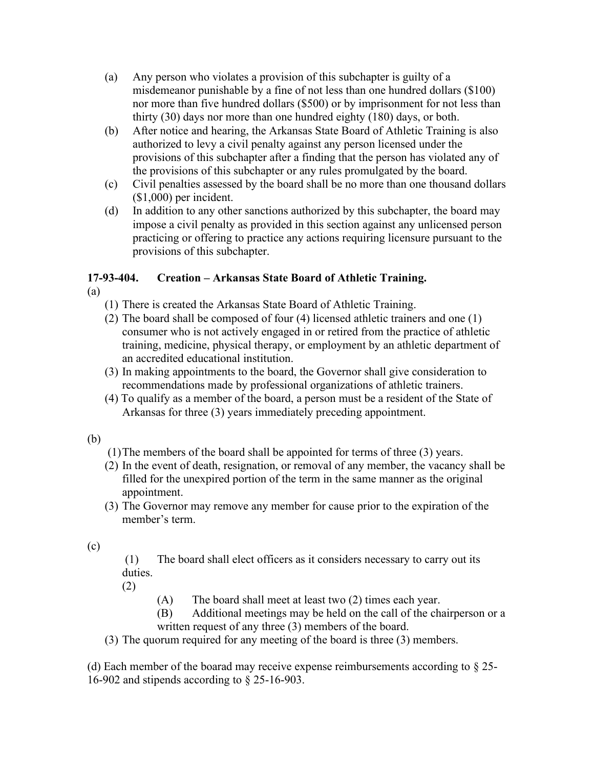- (a) Any person who violates a provision of this subchapter is guilty of a misdemeanor punishable by a fine of not less than one hundred dollars (\$100) nor more than five hundred dollars (\$500) or by imprisonment for not less than thirty (30) days nor more than one hundred eighty (180) days, or both.
- (b) After notice and hearing, the Arkansas State Board of Athletic Training is also authorized to levy a civil penalty against any person licensed under the provisions of this subchapter after a finding that the person has violated any of the provisions of this subchapter or any rules promulgated by the board.
- (c) Civil penalties assessed by the board shall be no more than one thousand dollars (\$1,000) per incident.
- (d) In addition to any other sanctions authorized by this subchapter, the board may impose a civil penalty as provided in this section against any unlicensed person practicing or offering to practice any actions requiring licensure pursuant to the provisions of this subchapter.

# **17-93-404. Creation – Arkansas State Board of Athletic Training.**

- (a)
	- (1) There is created the Arkansas State Board of Athletic Training.
	- (2) The board shall be composed of four (4) licensed athletic trainers and one (1) consumer who is not actively engaged in or retired from the practice of athletic training, medicine, physical therapy, or employment by an athletic department of an accredited educational institution.
	- (3) In making appointments to the board, the Governor shall give consideration to recommendations made by professional organizations of athletic trainers.
	- (4) To qualify as a member of the board, a person must be a resident of the State of Arkansas for three (3) years immediately preceding appointment.
- (b)
- (1)The members of the board shall be appointed for terms of three (3) years.
- (2) In the event of death, resignation, or removal of any member, the vacancy shall be filled for the unexpired portion of the term in the same manner as the original appointment.
- (3) The Governor may remove any member for cause prior to the expiration of the member's term.
- (c)
- (1) The board shall elect officers as it considers necessary to carry out its duties.
- (2)
- (A) The board shall meet at least two (2) times each year.
- (B) Additional meetings may be held on the call of the chairperson or a written request of any three (3) members of the board.
- (3) The quorum required for any meeting of the board is three (3) members.

(d) Each member of the boarad may receive expense reimbursements according to § 25- 16-902 and stipends according to § 25-16-903.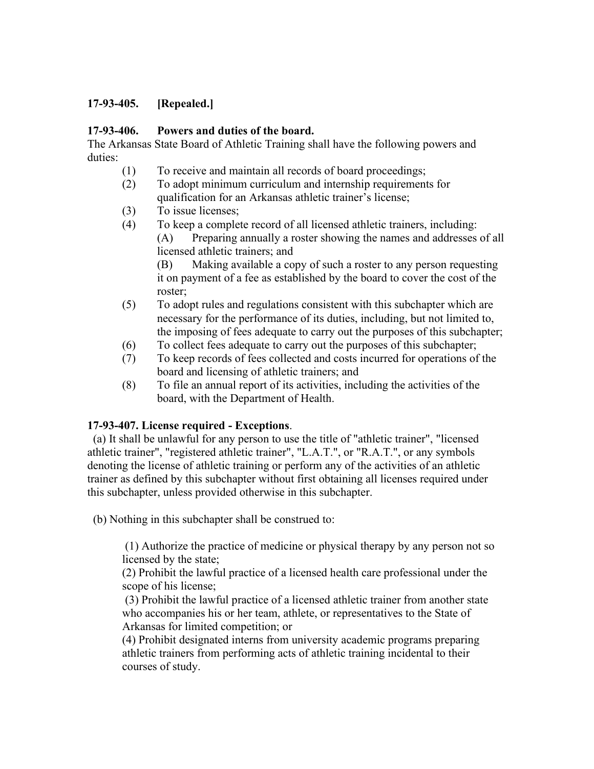### **17-93-405. [Repealed.]**

#### **17-93-406. Powers and duties of the board.**

The Arkansas State Board of Athletic Training shall have the following powers and duties:

- (1) To receive and maintain all records of board proceedings;
- (2) To adopt minimum curriculum and internship requirements for qualification for an Arkansas athletic trainer's license;
- (3) To issue licenses;
- (4) To keep a complete record of all licensed athletic trainers, including: (A) Preparing annually a roster showing the names and addresses of all licensed athletic trainers; and

(B) Making available a copy of such a roster to any person requesting it on payment of a fee as established by the board to cover the cost of the roster;

- (5) To adopt rules and regulations consistent with this subchapter which are necessary for the performance of its duties, including, but not limited to, the imposing of fees adequate to carry out the purposes of this subchapter;
- (6) To collect fees adequate to carry out the purposes of this subchapter;
- (7) To keep records of fees collected and costs incurred for operations of the board and licensing of athletic trainers; and
- (8) To file an annual report of its activities, including the activities of the board, with the Department of Health.

#### **17-93-407. License required - Exceptions**.

 (a) It shall be unlawful for any person to use the title of "athletic trainer", "licensed athletic trainer", "registered athletic trainer", "L.A.T.", or "R.A.T.", or any symbols denoting the license of athletic training or perform any of the activities of an athletic trainer as defined by this subchapter without first obtaining all licenses required under this subchapter, unless provided otherwise in this subchapter.

(b) Nothing in this subchapter shall be construed to:

(1) Authorize the practice of medicine or physical therapy by any person not so licensed by the state;

 (2) Prohibit the lawful practice of a licensed health care professional under the scope of his license;

(3) Prohibit the lawful practice of a licensed athletic trainer from another state who accompanies his or her team, athlete, or representatives to the State of Arkansas for limited competition; or

 (4) Prohibit designated interns from university academic programs preparing athletic trainers from performing acts of athletic training incidental to their courses of study.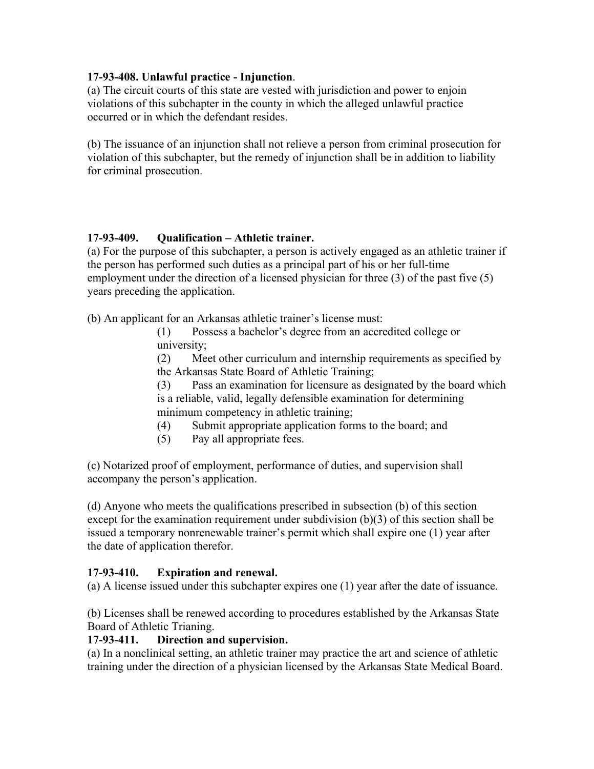### **17-93-408. Unlawful practice - Injunction**.

(a) The circuit courts of this state are vested with jurisdiction and power to enjoin violations of this subchapter in the county in which the alleged unlawful practice occurred or in which the defendant resides.

(b) The issuance of an injunction shall not relieve a person from criminal prosecution for violation of this subchapter, but the remedy of injunction shall be in addition to liability for criminal prosecution.

## **17-93-409. Qualification – Athletic trainer.**

(a) For the purpose of this subchapter, a person is actively engaged as an athletic trainer if the person has performed such duties as a principal part of his or her full-time employment under the direction of a licensed physician for three (3) of the past five (5) years preceding the application.

(b) An applicant for an Arkansas athletic trainer's license must:

(1) Possess a bachelor's degree from an accredited college or university;

(2) Meet other curriculum and internship requirements as specified by the Arkansas State Board of Athletic Training;

(3) Pass an examination for licensure as designated by the board which is a reliable, valid, legally defensible examination for determining minimum competency in athletic training;

- (4) Submit appropriate application forms to the board; and
- (5) Pay all appropriate fees.

(c) Notarized proof of employment, performance of duties, and supervision shall accompany the person's application.

(d) Anyone who meets the qualifications prescribed in subsection (b) of this section except for the examination requirement under subdivision (b)(3) of this section shall be issued a temporary nonrenewable trainer's permit which shall expire one (1) year after the date of application therefor.

## **17-93-410. Expiration and renewal.**

(a) A license issued under this subchapter expires one (1) year after the date of issuance.

(b) Licenses shall be renewed according to procedures established by the Arkansas State Board of Athletic Trianing.

## **17-93-411. Direction and supervision.**

(a) In a nonclinical setting, an athletic trainer may practice the art and science of athletic training under the direction of a physician licensed by the Arkansas State Medical Board.